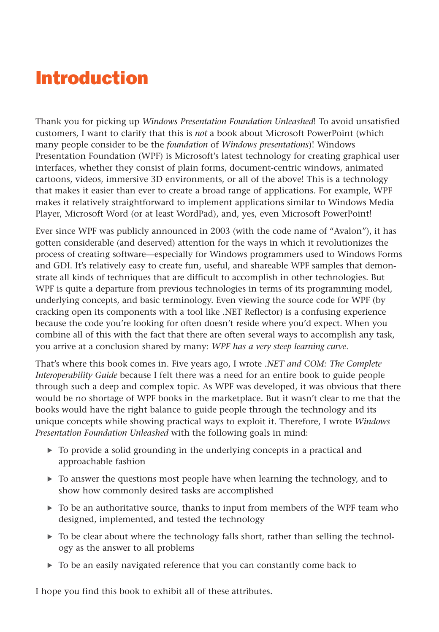# Introduction

Thank you for picking up *Windows Presentation Foundation Unleashed*! To avoid unsatisfied customers, I want to clarify that this is *not* a book about Microsoft PowerPoint (which many people consider to be the *foundation* of *Windows presentations*)! Windows Presentation Foundation (WPF) is Microsoft's latest technology for creating graphical user interfaces, whether they consist of plain forms, document-centric windows, animated cartoons, videos, immersive 3D environments, or all of the above! This is a technology that makes it easier than ever to create a broad range of applications. For example, WPF makes it relatively straightforward to implement applications similar to Windows Media Player, Microsoft Word (or at least WordPad), and, yes, even Microsoft PowerPoint!

Ever since WPF was publicly announced in 2003 (with the code name of "Avalon"), it has gotten considerable (and deserved) attention for the ways in which it revolutionizes the process of creating software—especially for Windows programmers used to Windows Forms and GDI. It's relatively easy to create fun, useful, and shareable WPF samples that demonstrate all kinds of techniques that are difficult to accomplish in other technologies. But WPF is quite a departure from previous technologies in terms of its programming model, underlying concepts, and basic terminology. Even viewing the source code for WPF (by cracking open its components with a tool like .NET Reflector) is a confusing experience because the code you're looking for often doesn't reside where you'd expect. When you combine all of this with the fact that there are often several ways to accomplish any task, you arrive at a conclusion shared by many: *WPF has a very steep learning curve*.

That's where this book comes in. Five years ago, I wrote *.NET and COM: The Complete Interoperability Guide* because I felt there was a need for an entire book to guide people through such a deep and complex topic. As WPF was developed, it was obvious that there would be no shortage of WPF books in the marketplace. But it wasn't clear to me that the books would have the right balance to guide people through the technology and its unique concepts while showing practical ways to exploit it. Therefore, I wrote *Windows Presentation Foundation Unleashed* with the following goals in mind:

- $\triangleright$  To provide a solid grounding in the underlying concepts in a practical and approachable fashion
- $\triangleright$  To answer the questions most people have when learning the technology, and to show how commonly desired tasks are accomplished
- $\triangleright$  To be an authoritative source, thanks to input from members of the WPF team who designed, implemented, and tested the technology
- ▶ To be clear about where the technology falls short, rather than selling the technology as the answer to all problems
- . To be an easily navigated reference that you can constantly come back to

I hope you find this book to exhibit all of these attributes.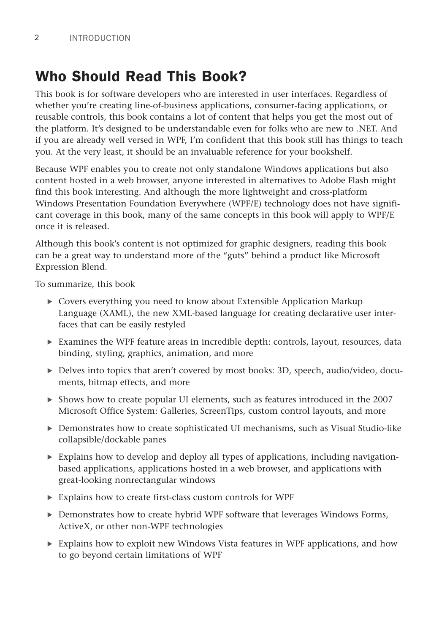# Who Should Read This Book?

This book is for software developers who are interested in user interfaces. Regardless of whether you're creating line-of-business applications, consumer-facing applications, or reusable controls, this book contains a lot of content that helps you get the most out of the platform. It's designed to be understandable even for folks who are new to .NET. And if you are already well versed in WPF, I'm confident that this book still has things to teach you. At the very least, it should be an invaluable reference for your bookshelf.

Because WPF enables you to create not only standalone Windows applications but also content hosted in a web browser, anyone interested in alternatives to Adobe Flash might find this book interesting. And although the more lightweight and cross-platform Windows Presentation Foundation Everywhere (WPF/E) technology does not have significant coverage in this book, many of the same concepts in this book will apply to WPF/E once it is released.

Although this book's content is not optimized for graphic designers, reading this book can be a great way to understand more of the "guts" behind a product like Microsoft Expression Blend.

To summarize, this book

- . Covers everything you need to know about Extensible Application Markup Language (XAML), the new XML-based language for creating declarative user interfaces that can be easily restyled
- $\triangleright$  Examines the WPF feature areas in incredible depth: controls, layout, resources, data binding, styling, graphics, animation, and more
- . Delves into topics that aren't covered by most books: 3D, speech, audio/video, documents, bitmap effects, and more
- . Shows how to create popular UI elements, such as features introduced in the 2007 Microsoft Office System: Galleries, ScreenTips, custom control layouts, and more
- . Demonstrates how to create sophisticated UI mechanisms, such as Visual Studio-like collapsible/dockable panes
- $\triangleright$  Explains how to develop and deploy all types of applications, including navigationbased applications, applications hosted in a web browser, and applications with great-looking nonrectangular windows
- . Explains how to create first-class custom controls for WPF
- . Demonstrates how to create hybrid WPF software that leverages Windows Forms, ActiveX, or other non-WPF technologies
- $\triangleright$  Explains how to exploit new Windows Vista features in WPF applications, and how to go beyond certain limitations of WPF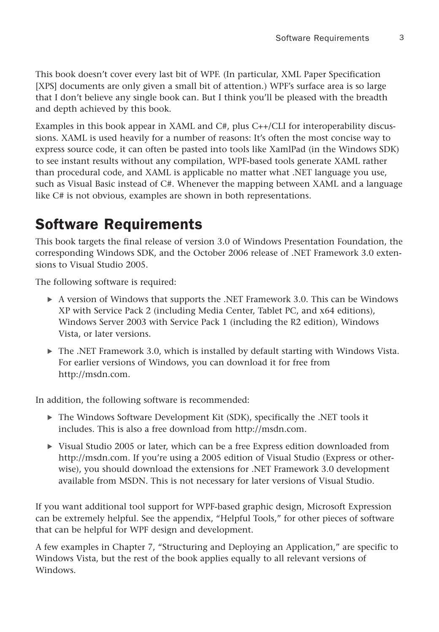This book doesn't cover every last bit of WPF. (In particular, XML Paper Specification [XPS] documents are only given a small bit of attention.) WPF's surface area is so large that I don't believe any single book can. But I think you'll be pleased with the breadth and depth achieved by this book.

Examples in this book appear in XAML and C#, plus C++/CLI for interoperability discussions. XAML is used heavily for a number of reasons: It's often the most concise way to express source code, it can often be pasted into tools like XamlPad (in the Windows SDK) to see instant results without any compilation, WPF-based tools generate XAML rather than procedural code, and XAML is applicable no matter what .NET language you use, such as Visual Basic instead of C#. Whenever the mapping between XAML and a language like C# is not obvious, examples are shown in both representations.

# Software Requirements

This book targets the final release of version 3.0 of Windows Presentation Foundation, the corresponding Windows SDK, and the October 2006 release of .NET Framework 3.0 extensions to Visual Studio 2005.

The following software is required:

- $\triangleright$  A version of Windows that supports the .NET Framework 3.0. This can be Windows XP with Service Pack 2 (including Media Center, Tablet PC, and x64 editions), Windows Server 2003 with Service Pack 1 (including the R2 edition), Windows Vista, or later versions.
- $\blacktriangleright$  The .NET Framework 3.0, which is installed by default starting with Windows Vista. For earlier versions of Windows, you can download it for free from [http://msdn.com.](http://msdn.com)

In addition, the following software is recommended:

- $\triangleright$  The Windows Software Development Kit (SDK), specifically the .NET tools it includes. This is also a free download from [http://msdn.com.](http://msdn.com)
- $\triangleright$  Visual Studio 2005 or later, which can be a free Express edition downloaded from [http://msdn.com.](http://msdn.com) If you're using a 2005 edition of Visual Studio (Express or otherwise), you should download the extensions for .NET Framework 3.0 development available from MSDN. This is not necessary for later versions of Visual Studio.

If you want additional tool support for WPF-based graphic design, Microsoft Expression can be extremely helpful. See the appendix, "Helpful Tools," for other pieces of software that can be helpful for WPF design and development.

A few examples in Chapter 7, "Structuring and Deploying an Application," are specific to Windows Vista, but the rest of the book applies equally to all relevant versions of Windows.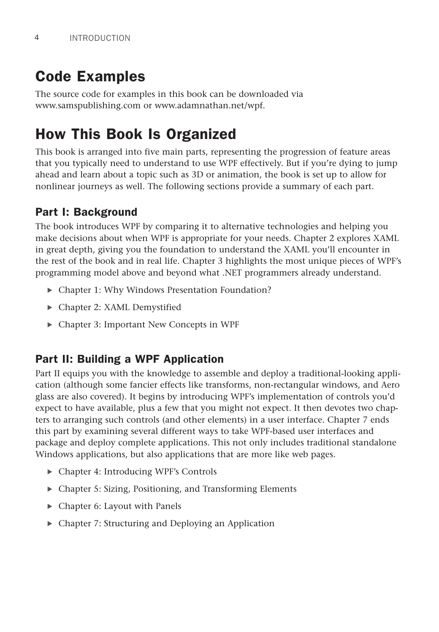# Code Examples

The source code for examples in this book can be downloaded via <www.samspublishing.com> or [www.adamnathan.net/wpf.](www.adamnathan.net/wpf)

### How This Book Is Organized

This book is arranged into five main parts, representing the progression of feature areas that you typically need to understand to use WPF effectively. But if you're dying to jump ahead and learn about a topic such as 3D or animation, the book is set up to allow for nonlinear journeys as well. The following sections provide a summary of each part.

#### Part I: Background

The book introduces WPF by comparing it to alternative technologies and helping you make decisions about when WPF is appropriate for your needs. Chapter 2 explores XAML in great depth, giving you the foundation to understand the XAML you'll encounter in the rest of the book and in real life. Chapter 3 highlights the most unique pieces of WPF's programming model above and beyond what .NET programmers already understand.

- . Chapter 1: Why Windows Presentation Foundation?
- ▶ Chapter 2: XAML Demystified
- . Chapter 3: Important New Concepts in WPF

#### Part II: Building a WPF Application

Part II equips you with the knowledge to assemble and deploy a traditional-looking application (although some fancier effects like transforms, non-rectangular windows, and Aero glass are also covered). It begins by introducing WPF's implementation of controls you'd expect to have available, plus a few that you might not expect. It then devotes two chapters to arranging such controls (and other elements) in a user interface. Chapter 7 ends this part by examining several different ways to take WPF-based user interfaces and package and deploy complete applications. This not only includes traditional standalone Windows applications, but also applications that are more like web pages.

- ▶ Chapter 4: Introducing WPF's Controls
- . Chapter 5: Sizing, Positioning, and Transforming Elements
- ▶ Chapter 6: Layout with Panels
- . Chapter 7: Structuring and Deploying an Application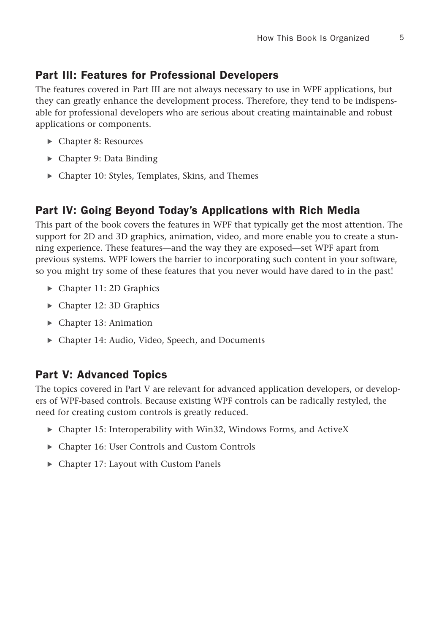#### Part III: Features for Professional Developers

The features covered in Part III are not always necessary to use in WPF applications, but they can greatly enhance the development process. Therefore, they tend to be indispensable for professional developers who are serious about creating maintainable and robust applications or components.

- ▶ Chapter 8: Resources
- $\triangleright$  Chapter 9: Data Binding
- . Chapter 10: Styles, Templates, Skins, and Themes

#### Part IV: Going Beyond Today's Applications with Rich Media

This part of the book covers the features in WPF that typically get the most attention. The support for 2D and 3D graphics, animation, video, and more enable you to create a stunning experience. These features—and the way they are exposed—set WPF apart from previous systems. WPF lowers the barrier to incorporating such content in your software, so you might try some of these features that you never would have dared to in the past!

- ▶ Chapter 11: 2D Graphics
- Chapter 12: 3D Graphics
- ▶ Chapter 13: Animation
- . Chapter 14: Audio, Video, Speech, and Documents

#### Part V: Advanced Topics

The topics covered in Part V are relevant for advanced application developers, or developers of WPF-based controls. Because existing WPF controls can be radically restyled, the need for creating custom controls is greatly reduced.

- . Chapter 15: Interoperability with Win32, Windows Forms, and ActiveX
- . Chapter 16: User Controls and Custom Controls
- . Chapter 17: Layout with Custom Panels